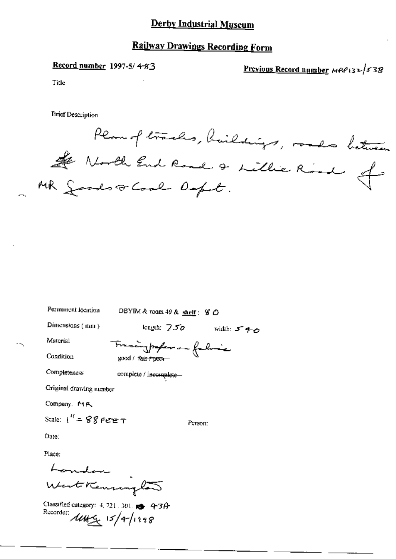## Derby Industrial Museum

# **Railway Drawings Recording Form**

Record number 1997-5/4-83

Previous Record number  $MRP_{13}$  / 538

Title

**Brief Description** 

Plan of tracks, haildings, roads between the North End Road & Lillie Road of

| Permanent location        | DBYIM & room 49 & shelf: $\mathcal G$ $\bigcirc$ |             |
|---------------------------|--------------------------------------------------|-------------|
| Dimensions (mm)           | length: $750$                                    | width: 5 40 |
| Material                  | Tracinghaperon falsaic                           |             |
| Condition                 | good / fair / poor                               |             |
| Completeness              | complete / incomplete                            |             |
| Original drawing number   |                                                  |             |
| Company, MR               |                                                  |             |
| Scale: $1'' = 88$ Pere T  |                                                  | Person:     |
| Date:                     |                                                  |             |
| Place:                    |                                                  |             |
|                           |                                                  |             |
| London .<br>start Kensing |                                                  |             |
|                           |                                                  |             |

Classified category: 4, 721, 301, et 4-3A Recorder:  $\mu_{\mathcal{H}_{\mathcal{L}}}$  15/4/1998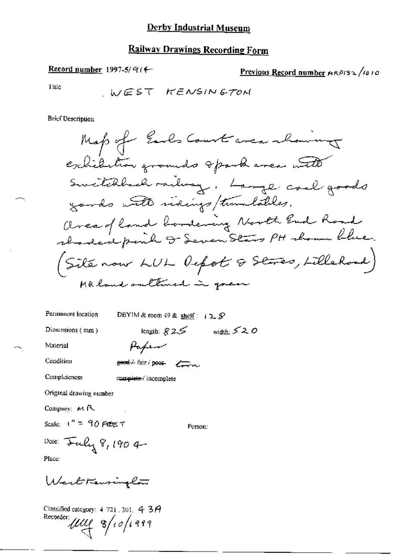## **Railway Drawings Recording Form**

Record number 1997-5/ $914$ 

Previous Record number ARPI32/1010

Title

**Brief Description** 

Permanent location

DBYIM & room 49 & shelf:  $+2.5$ 

Dimensions (mm)

length:  $825$  width:  $520$ 

Material Condition

Paper  $g$ eard  $\neq$  fair / poor  $g \rightarrow \infty$ 

Completeness

complete/incomplete

Original drawing number

Company: MR

Scale:  $t'' = 90$  FEE T

Person:

Date: Fuly 8, 190 4 Place:

WestKenninglow

Classified category: 4 721.301. 4 3 A<br>Recorder:<br> $\text{unit 8/10/199}$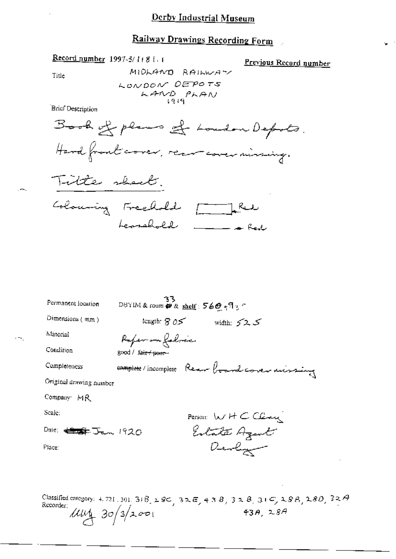# Railway Drawings Recording Form

#### Record number 1997-5/1181.1

Previous Record number

Title

MIDLAND RAILWAY

Brief Description



Title sheet. Colouring Freehold [ Red Lemelold \_\_\_\_ Feel

BBYIM&room @& <u>shelf</u>: 56色<sub>5年</sub>9<sub>3</sub>つ Permanent location Dimensions (mm) tength:  $\beta$  05 width:  $525$ Material Rofer en folces Condition good / fair / pourcomplete/incomplete Rear board corer missing Completeness Original drawing number Company MR Scale: Person:  $wH C C$ Estate Agent Dale: <del>4975</del> Jan 1920 Devly Place:

Classified category: 4.721.301.31B, 28C, 32E, 43B, 32B, 31C, 28B, 28D, 32A Recorder:  $\mu$  $\mu$  30/3/2001  $43A, 28A$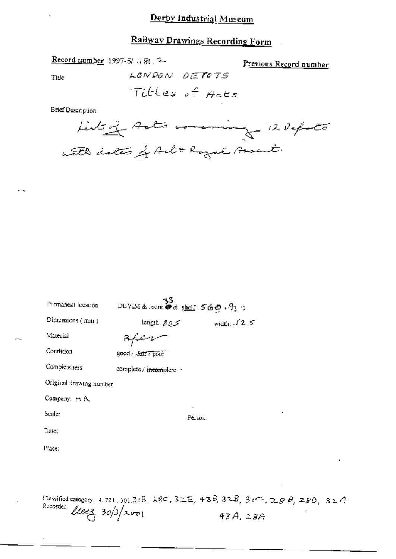## Derby Industrial Museum

# Railway Drawings Recording Form

Record number 1997-5/1181.2

Previous Record number

Tide

LONDON DETOTS

**Brief Description** 



| Permanent location      | -33<br>DBYIM&room D& shelf: 560.9:                                                                                                 |                     |
|-------------------------|------------------------------------------------------------------------------------------------------------------------------------|---------------------|
| Dimensions $(mn)$       | length: $805$                                                                                                                      | width: $\sqrt{2.5}$ |
| Material                | Rfer                                                                                                                               |                     |
| Condition               | good / Anit 7 poor                                                                                                                 |                     |
| Completeness            | complete / incomplete --                                                                                                           |                     |
| Original drawing number |                                                                                                                                    |                     |
| Company: m 队            |                                                                                                                                    |                     |
| Scale:                  | Person,                                                                                                                            |                     |
| Date:                   |                                                                                                                                    |                     |
| Place:                  |                                                                                                                                    |                     |
|                         |                                                                                                                                    |                     |
|                         |                                                                                                                                    |                     |
|                         | Classified category: 4, 721, 301, $3$ ( $\beta$ , $\lambda$ $3$ C , $\beta$ ) $\pm$ E , $\beta$ $3$ $\pm$ $\beta$ , $3$ ( $\leq$ , |                     |

 $\mathcal{B}_i$  3 $\mathcal{C}_i$ , 28 $\mathcal{B}_i$  280, 32A Recorder:  $lleez$  30/3/2001  $43A,28A$